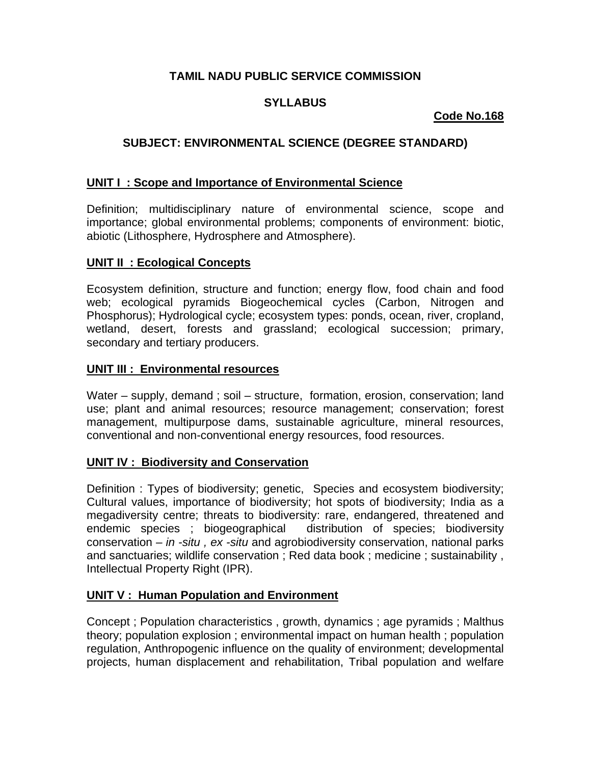# **TAMIL NADU PUBLIC SERVICE COMMISSION**

# **SYLLABUS**

# **Code No.168**

# **SUBJECT: ENVIRONMENTAL SCIENCE (DEGREE STANDARD)**

## **UNIT I : Scope and Importance of Environmental Science**

Definition; multidisciplinary nature of environmental science, scope and importance; global environmental problems; components of environment: biotic, abiotic (Lithosphere, Hydrosphere and Atmosphere).

## **UNIT II : Ecological Concepts**

Ecosystem definition, structure and function; energy flow, food chain and food web; ecological pyramids Biogeochemical cycles (Carbon, Nitrogen and Phosphorus); Hydrological cycle; ecosystem types: ponds, ocean, river, cropland, wetland, desert, forests and grassland; ecological succession; primary, secondary and tertiary producers.

#### **UNIT III : Environmental resources**

Water – supply, demand ; soil – structure, formation, erosion, conservation; land use; plant and animal resources; resource management; conservation; forest management, multipurpose dams, sustainable agriculture, mineral resources, conventional and non-conventional energy resources, food resources.

#### **UNIT IV : Biodiversity and Conservation**

Definition : Types of biodiversity; genetic, Species and ecosystem biodiversity; Cultural values, importance of biodiversity; hot spots of biodiversity; India as a megadiversity centre; threats to biodiversity: rare, endangered, threatened and endemic species ; biogeographical distribution of species; biodiversity conservation *– in -situ , ex -situ* and agrobiodiversity conservation, national parks and sanctuaries; wildlife conservation ; Red data book ; medicine ; sustainability , Intellectual Property Right (IPR).

#### **UNIT V : Human Population and Environment**

Concept ; Population characteristics , growth, dynamics ; age pyramids ; Malthus theory; population explosion ; environmental impact on human health ; population regulation, Anthropogenic influence on the quality of environment; developmental projects, human displacement and rehabilitation, Tribal population and welfare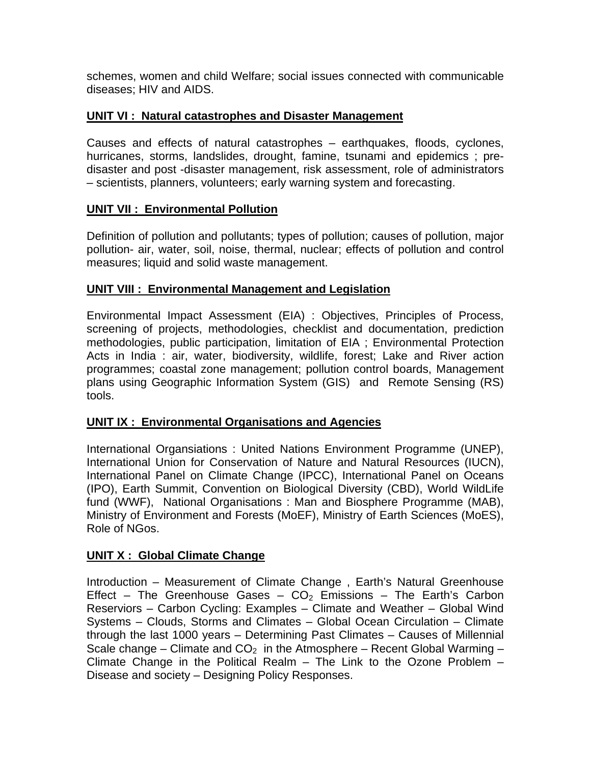schemes, women and child Welfare; social issues connected with communicable diseases; HIV and AIDS.

### **UNIT VI : Natural catastrophes and Disaster Management**

Causes and effects of natural catastrophes – earthquakes, floods, cyclones, hurricanes, storms, landslides, drought, famine, tsunami and epidemics ; predisaster and post -disaster management, risk assessment, role of administrators – scientists, planners, volunteers; early warning system and forecasting.

## **UNIT VII : Environmental Pollution**

Definition of pollution and pollutants; types of pollution; causes of pollution, major pollution- air, water, soil, noise, thermal, nuclear; effects of pollution and control measures; liquid and solid waste management.

## **UNIT VIII : Environmental Management and Legislation**

Environmental Impact Assessment (EIA) : Objectives, Principles of Process, screening of projects, methodologies, checklist and documentation, prediction methodologies, public participation, limitation of EIA ; Environmental Protection Acts in India : air, water, biodiversity, wildlife, forest; Lake and River action programmes; coastal zone management; pollution control boards, Management plans using Geographic Information System (GIS) and Remote Sensing (RS) tools.

#### **UNIT IX : Environmental Organisations and Agencies**

International Organsiations : United Nations Environment Programme (UNEP), International Union for Conservation of Nature and Natural Resources (IUCN), International Panel on Climate Change (IPCC), International Panel on Oceans (IPO), Earth Summit, Convention on Biological Diversity (CBD), World WildLife fund (WWF), National Organisations : Man and Biosphere Programme (MAB), Ministry of Environment and Forests (MoEF), Ministry of Earth Sciences (MoES), Role of NGos.

#### **UNIT X : Global Climate Change**

Introduction – Measurement of Climate Change , Earth's Natural Greenhouse Effect – The Greenhouse Gases –  $CO<sub>2</sub>$  Emissions – The Earth's Carbon Reserviors – Carbon Cycling: Examples – Climate and Weather – Global Wind Systems – Clouds, Storms and Climates – Global Ocean Circulation – Climate through the last 1000 years – Determining Past Climates – Causes of Millennial Scale change – Climate and  $CO<sub>2</sub>$  in the Atmosphere – Recent Global Warming – Climate Change in the Political Realm – The Link to the Ozone Problem – Disease and society – Designing Policy Responses.